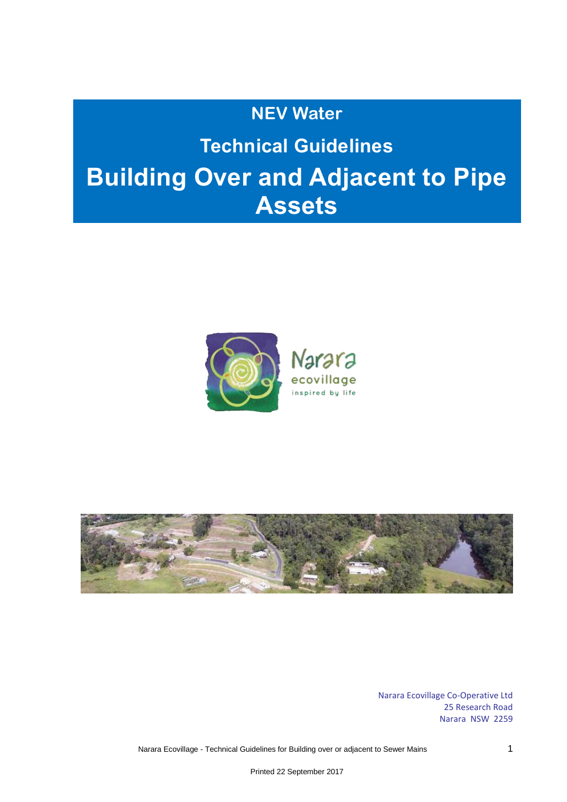## **NEV Water**

# **Technical Guidelines Building Over and Adjacent to Pipe Assets**





Narara Ecovillage Co-Operative Ltd 25 Research Road Narara NSW 2259

Narara Ecovillage - Technical Guidelines for Building over or adjacent to Sewer Mains 1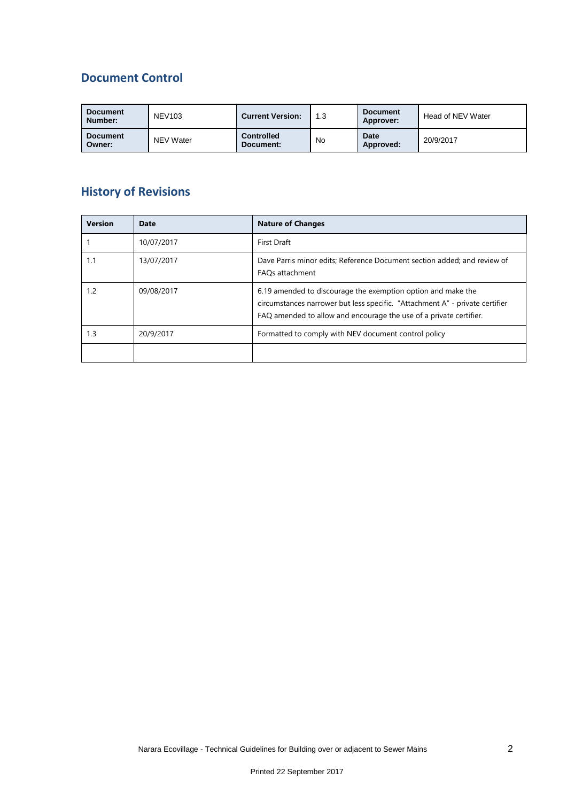### **Document Control**

| <b>Document</b><br>Number: | <b>NEV103</b> | <b>Current Version:</b>        | 1.3 | <b>Document</b><br>Approver: | Head of NEV Water |
|----------------------------|---------------|--------------------------------|-----|------------------------------|-------------------|
| <b>Document</b><br>Owner:  | NEV Water     | <b>Controlled</b><br>Document: | No  | <b>Date</b><br>Approved:     | 20/9/2017         |

## **History of Revisions**

| <b>Version</b> | Date       | <b>Nature of Changes</b>                                                                                                                                                                                           |  |
|----------------|------------|--------------------------------------------------------------------------------------------------------------------------------------------------------------------------------------------------------------------|--|
|                | 10/07/2017 | First Draft                                                                                                                                                                                                        |  |
| 1.1            | 13/07/2017 | Dave Parris minor edits; Reference Document section added; and review of<br>FAOs attachment                                                                                                                        |  |
| 1.2            | 09/08/2017 | 6.19 amended to discourage the exemption option and make the<br>circumstances narrower but less specific. "Attachment A" - private certifier<br>FAQ amended to allow and encourage the use of a private certifier. |  |
| 1.3            | 20/9/2017  | Formatted to comply with NEV document control policy                                                                                                                                                               |  |
|                |            |                                                                                                                                                                                                                    |  |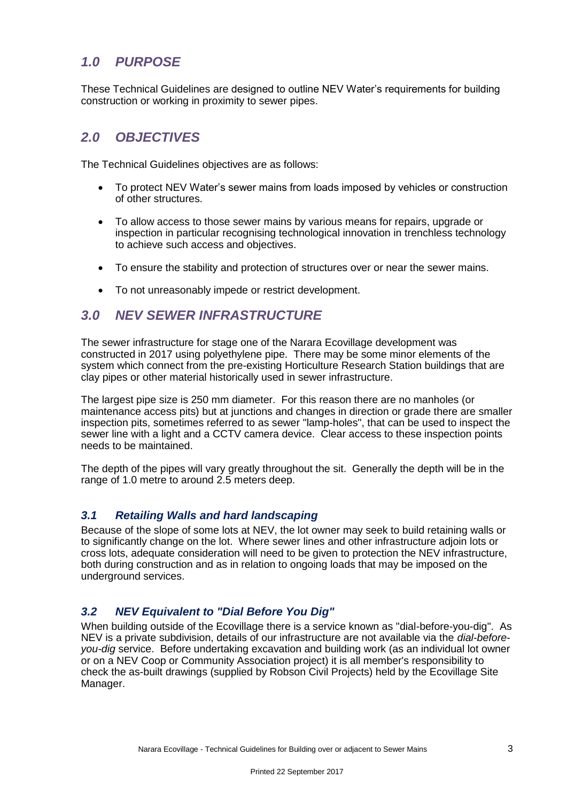## *1.0 PURPOSE*

These Technical Guidelines are designed to outline NEV Water's requirements for building construction or working in proximity to sewer pipes.

## *2.0 OBJECTIVES*

The Technical Guidelines objectives are as follows:

- To protect NEV Water's sewer mains from loads imposed by vehicles or construction of other structures.
- To allow access to those sewer mains by various means for repairs, upgrade or inspection in particular recognising technological innovation in trenchless technology to achieve such access and objectives.
- To ensure the stability and protection of structures over or near the sewer mains.
- To not unreasonably impede or restrict development.

#### *3.0 NEV SEWER INFRASTRUCTURE*

The sewer infrastructure for stage one of the Narara Ecovillage development was constructed in 2017 using polyethylene pipe. There may be some minor elements of the system which connect from the pre-existing Horticulture Research Station buildings that are clay pipes or other material historically used in sewer infrastructure.

The largest pipe size is 250 mm diameter. For this reason there are no manholes (or maintenance access pits) but at junctions and changes in direction or grade there are smaller inspection pits, sometimes referred to as sewer "lamp-holes", that can be used to inspect the sewer line with a light and a CCTV camera device. Clear access to these inspection points needs to be maintained.

The depth of the pipes will vary greatly throughout the sit. Generally the depth will be in the range of 1.0 metre to around 2.5 meters deep.

#### *3.1 Retailing Walls and hard landscaping*

Because of the slope of some lots at NEV, the lot owner may seek to build retaining walls or to significantly change on the lot. Where sewer lines and other infrastructure adjoin lots or cross lots, adequate consideration will need to be given to protection the NEV infrastructure, both during construction and as in relation to ongoing loads that may be imposed on the underground services.

#### *3.2 NEV Equivalent to "Dial Before You Dig"*

When building outside of the Ecovillage there is a service known as "dial-before-you-dig". As NEV is a private subdivision, details of our infrastructure are not available via the *dial-beforeyou-dig* service. Before undertaking excavation and building work (as an individual lot owner or on a NEV Coop or Community Association project) it is all member's responsibility to check the as-built drawings (supplied by Robson Civil Projects) held by the Ecovillage Site Manager.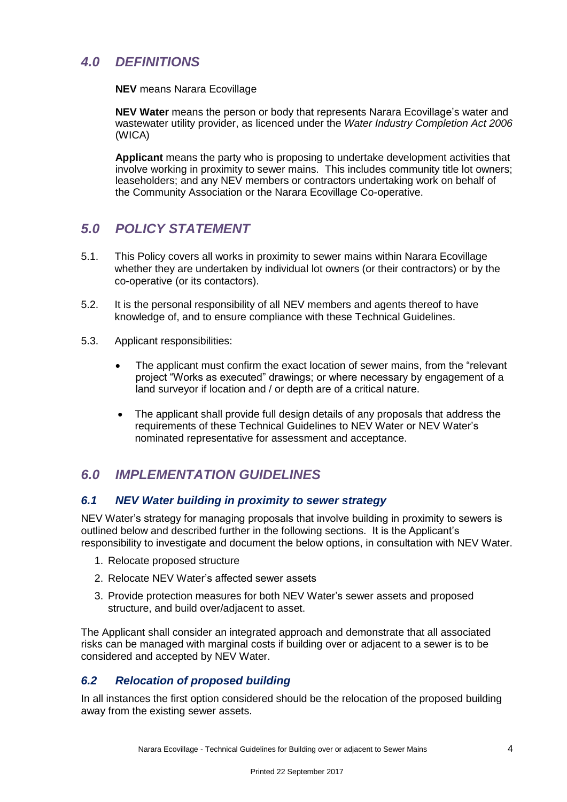## *4.0 DEFINITIONS*

**NEV** means Narara Ecovillage

**NEV Water** means the person or body that represents Narara Ecovillage's water and wastewater utility provider, as licenced under the *Water Industry Completion Act 2006* (WICA)

**Applicant** means the party who is proposing to undertake development activities that involve working in proximity to sewer mains. This includes community title lot owners; leaseholders; and any NEV members or contractors undertaking work on behalf of the Community Association or the Narara Ecovillage Co-operative.

## *5.0 POLICY STATEMENT*

- 5.1. This Policy covers all works in proximity to sewer mains within Narara Ecovillage whether they are undertaken by individual lot owners (or their contractors) or by the co-operative (or its contactors).
- 5.2. It is the personal responsibility of all NEV members and agents thereof to have knowledge of, and to ensure compliance with these Technical Guidelines.
- 5.3. Applicant responsibilities:
	- The applicant must confirm the exact location of sewer mains, from the "relevant project "Works as executed" drawings; or where necessary by engagement of a land surveyor if location and / or depth are of a critical nature.
	- The applicant shall provide full design details of any proposals that address the requirements of these Technical Guidelines to NEV Water or NEV Water's nominated representative for assessment and acceptance.

## *6.0 IMPLEMENTATION GUIDELINES*

#### *6.1 NEV Water building in proximity to sewer strategy*

NEV Water's strategy for managing proposals that involve building in proximity to sewers is outlined below and described further in the following sections. It is the Applicant's responsibility to investigate and document the below options, in consultation with NEV Water.

- 1. Relocate proposed structure
- 2. Relocate NEV Water's affected sewer assets
- 3. Provide protection measures for both NEV Water's sewer assets and proposed structure, and build over/adjacent to asset.

The Applicant shall consider an integrated approach and demonstrate that all associated risks can be managed with marginal costs if building over or adjacent to a sewer is to be considered and accepted by NEV Water.

#### *6.2 Relocation of proposed building*

In all instances the first option considered should be the relocation of the proposed building away from the existing sewer assets.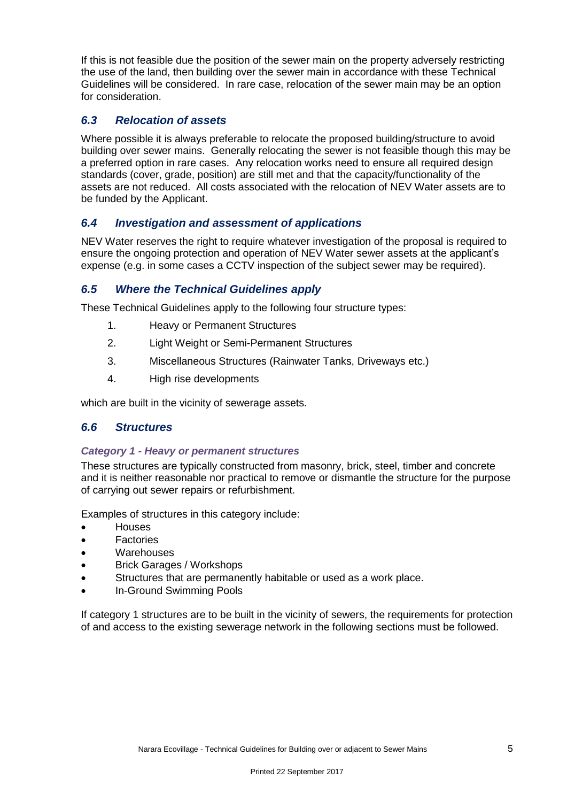If this is not feasible due the position of the sewer main on the property adversely restricting the use of the land, then building over the sewer main in accordance with these Technical Guidelines will be considered. In rare case, relocation of the sewer main may be an option for consideration.

#### *6.3 Relocation of assets*

Where possible it is always preferable to relocate the proposed building/structure to avoid building over sewer mains. Generally relocating the sewer is not feasible though this may be a preferred option in rare cases. Any relocation works need to ensure all required design standards (cover, grade, position) are still met and that the capacity/functionality of the assets are not reduced. All costs associated with the relocation of NEV Water assets are to be funded by the Applicant.

#### *6.4 Investigation and assessment of applications*

NEV Water reserves the right to require whatever investigation of the proposal is required to ensure the ongoing protection and operation of NEV Water sewer assets at the applicant's expense (e.g. in some cases a CCTV inspection of the subject sewer may be required).

#### *6.5 Where the Technical Guidelines apply*

These Technical Guidelines apply to the following four structure types:

- 1. Heavy or Permanent Structures
- 2. Light Weight or Semi-Permanent Structures
- 3. Miscellaneous Structures (Rainwater Tanks, Driveways etc.)
- 4. High rise developments

which are built in the vicinity of sewerage assets.

#### *6.6 Structures*

#### *Category 1 - Heavy or permanent structures*

These structures are typically constructed from masonry, brick, steel, timber and concrete and it is neither reasonable nor practical to remove or dismantle the structure for the purpose of carrying out sewer repairs or refurbishment.

Examples of structures in this category include:

- Houses
- Factories
- Warehouses
- Brick Garages / Workshops
- Structures that are permanently habitable or used as a work place.
- In-Ground Swimming Pools

If category 1 structures are to be built in the vicinity of sewers, the requirements for protection of and access to the existing sewerage network in the following sections must be followed.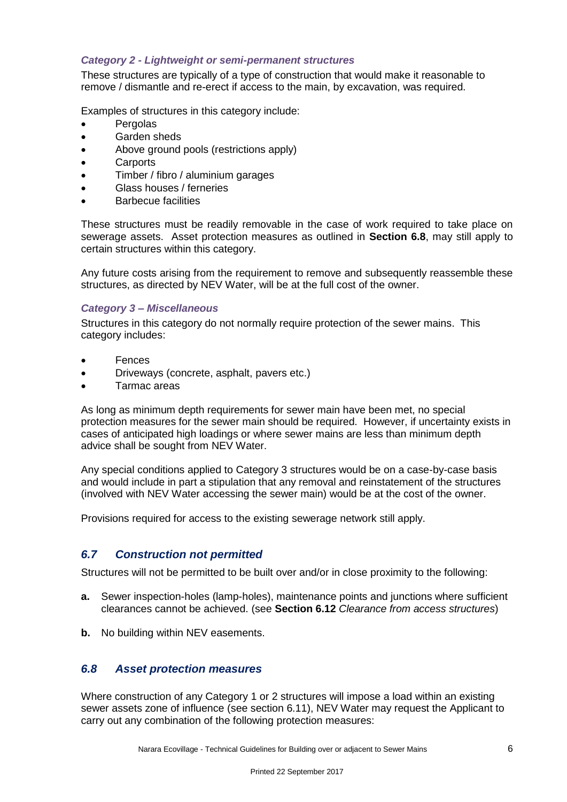#### *Category 2 - Lightweight or semi-permanent structures*

These structures are typically of a type of construction that would make it reasonable to remove / dismantle and re-erect if access to the main, by excavation, was required.

Examples of structures in this category include:

- Pergolas
- Garden sheds
- Above ground pools (restrictions apply)
- Carports
- Timber / fibro / aluminium garages
- Glass houses / ferneries
- Barbecue facilities

These structures must be readily removable in the case of work required to take place on sewerage assets. Asset protection measures as outlined in **Section 6.8**, may still apply to certain structures within this category.

Any future costs arising from the requirement to remove and subsequently reassemble these structures, as directed by NEV Water, will be at the full cost of the owner.

#### *Category 3 – Miscellaneous*

Structures in this category do not normally require protection of the sewer mains. This category includes:

- Fences
- Driveways (concrete, asphalt, pavers etc.)
- Tarmac areas

As long as minimum depth requirements for sewer main have been met, no special protection measures for the sewer main should be required. However, if uncertainty exists in cases of anticipated high loadings or where sewer mains are less than minimum depth advice shall be sought from NEV Water.

Any special conditions applied to Category 3 structures would be on a case-by-case basis and would include in part a stipulation that any removal and reinstatement of the structures (involved with NEV Water accessing the sewer main) would be at the cost of the owner.

Provisions required for access to the existing sewerage network still apply.

#### *6.7 Construction not permitted*

Structures will not be permitted to be built over and/or in close proximity to the following:

- **a.** Sewer inspection-holes (lamp-holes), maintenance points and junctions where sufficient clearances cannot be achieved. (see **Section 6.12** *Clearance from access structures*)
- **b.** No building within NEV easements.

#### *6.8 Asset protection measures*

Where construction of any Category 1 or 2 structures will impose a load within an existing sewer assets zone of influence (see section 6.11), NEV Water may request the Applicant to carry out any combination of the following protection measures: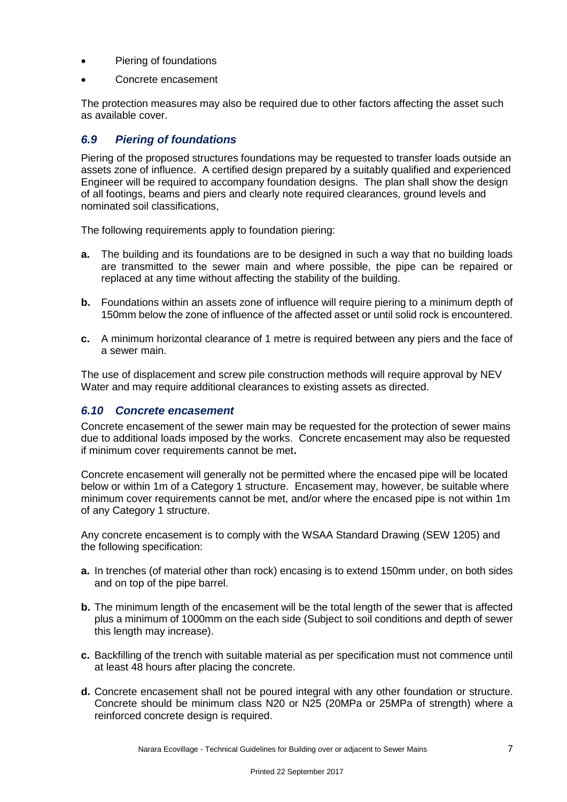- Piering of foundations
- Concrete encasement

The protection measures may also be required due to other factors affecting the asset such as available cover.

#### *6.9 Piering of foundations*

Piering of the proposed structures foundations may be requested to transfer loads outside an assets zone of influence. A certified design prepared by a suitably qualified and experienced Engineer will be required to accompany foundation designs. The plan shall show the design of all footings, beams and piers and clearly note required clearances, ground levels and nominated soil classifications,

The following requirements apply to foundation piering:

- **a.** The building and its foundations are to be designed in such a way that no building loads are transmitted to the sewer main and where possible, the pipe can be repaired or replaced at any time without affecting the stability of the building.
- **b.** Foundations within an assets zone of influence will require piering to a minimum depth of 150mm below the zone of influence of the affected asset or until solid rock is encountered.
- **c.** A minimum horizontal clearance of 1 metre is required between any piers and the face of a sewer main.

The use of displacement and screw pile construction methods will require approval by NEV Water and may require additional clearances to existing assets as directed.

#### *6.10 Concrete encasement*

Concrete encasement of the sewer main may be requested for the protection of sewer mains due to additional loads imposed by the works. Concrete encasement may also be requested if minimum cover requirements cannot be met**.**

Concrete encasement will generally not be permitted where the encased pipe will be located below or within 1m of a Category 1 structure. Encasement may, however, be suitable where minimum cover requirements cannot be met, and/or where the encased pipe is not within 1m of any Category 1 structure.

Any concrete encasement is to comply with the WSAA Standard Drawing (SEW 1205) and the following specification:

- **a.** In trenches (of material other than rock) encasing is to extend 150mm under, on both sides and on top of the pipe barrel.
- **b.** The minimum length of the encasement will be the total length of the sewer that is affected plus a minimum of 1000mm on the each side (Subject to soil conditions and depth of sewer this length may increase).
- **c.** Backfilling of the trench with suitable material as per specification must not commence until at least 48 hours after placing the concrete.
- **d.** Concrete encasement shall not be poured integral with any other foundation or structure. Concrete should be minimum class N20 or N25 (20MPa or 25MPa of strength) where a reinforced concrete design is required.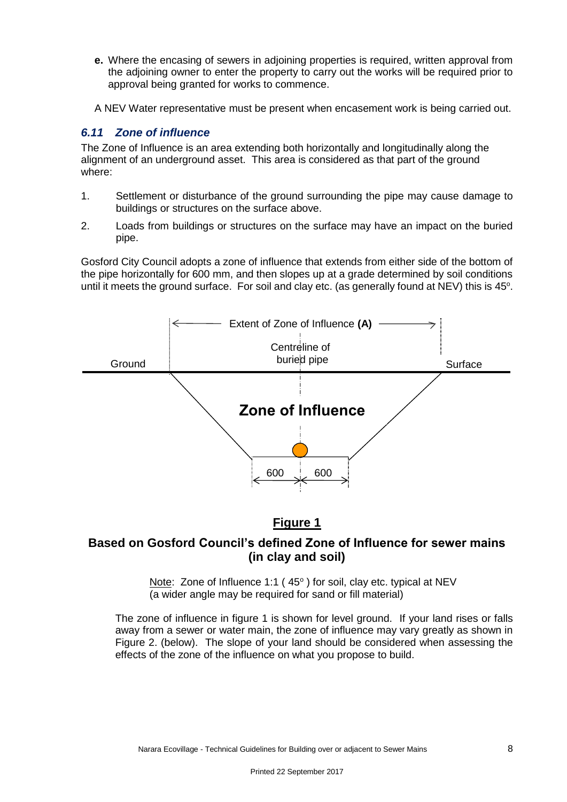- **e.** Where the encasing of sewers in adjoining properties is required, written approval from the adjoining owner to enter the property to carry out the works will be required prior to approval being granted for works to commence.
- A NEV Water representative must be present when encasement work is being carried out.

#### *6.11 Zone of influence*

The Zone of Influence is an area extending both horizontally and longitudinally along the alignment of an underground asset. This area is considered as that part of the ground where:

- 1. Settlement or disturbance of the ground surrounding the pipe may cause damage to buildings or structures on the surface above.
- 2. Loads from buildings or structures on the surface may have an impact on the buried pipe.

Gosford City Council adopts a zone of influence that extends from either side of the bottom of the pipe horizontally for 600 mm, and then slopes up at a grade determined by soil conditions until it meets the ground surface. For soil and clay etc. (as generally found at NEV) this is  $45^\circ$ .



#### **Figure 1**

#### **Based on Gosford Council's defined Zone of Influence for sewer mains (in clay and soil)**

Note: Zone of Influence 1:1 (45°) for soil, clay etc. typical at NEV (a wider angle may be required for sand or fill material)

The zone of influence in figure 1 is shown for level ground. If your land rises or falls away from a sewer or water main, the zone of influence may vary greatly as shown in Figure 2. (below). The slope of your land should be considered when assessing the effects of the zone of the influence on what you propose to build.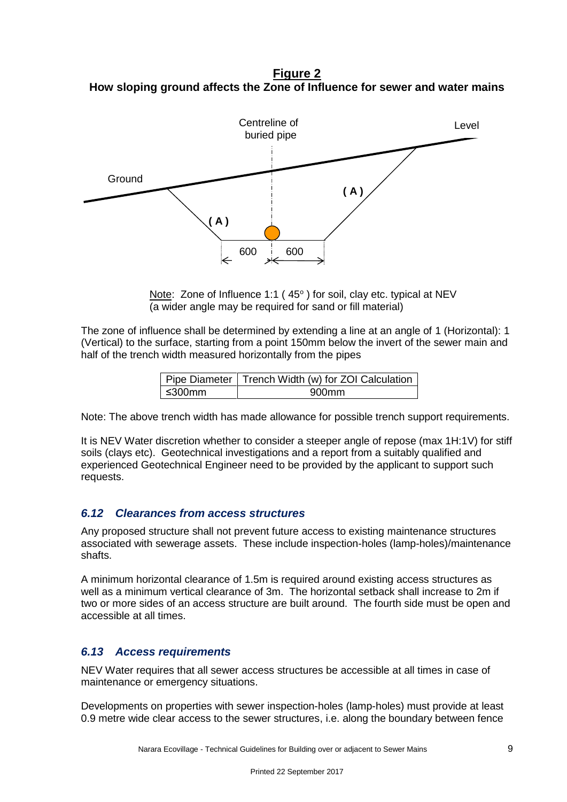**Figure 2 How sloping ground affects the Zone of Influence for sewer and water mains**



Note: Zone of Influence 1:1 (45°) for soil, clay etc. typical at NEV (a wider angle may be required for sand or fill material)

The zone of influence shall be determined by extending a line at an angle of 1 (Horizontal): 1 (Vertical) to the surface, starting from a point 150mm below the invert of the sewer main and half of the trench width measured horizontally from the pipes

|        | Pipe Diameter   Trench Width (w) for ZOI Calculation |  |  |
|--------|------------------------------------------------------|--|--|
| ≤300mm | 900mm                                                |  |  |

Note: The above trench width has made allowance for possible trench support requirements.

It is NEV Water discretion whether to consider a steeper angle of repose (max 1H:1V) for stiff soils (clays etc). Geotechnical investigations and a report from a suitably qualified and experienced Geotechnical Engineer need to be provided by the applicant to support such requests.

#### *6.12 Clearances from access structures*

Any proposed structure shall not prevent future access to existing maintenance structures associated with sewerage assets. These include inspection-holes (lamp-holes)/maintenance shafts.

A minimum horizontal clearance of 1.5m is required around existing access structures as well as a minimum vertical clearance of 3m. The horizontal setback shall increase to 2m if two or more sides of an access structure are built around. The fourth side must be open and accessible at all times.

#### *6.13 Access requirements*

NEV Water requires that all sewer access structures be accessible at all times in case of maintenance or emergency situations.

Developments on properties with sewer inspection-holes (lamp-holes) must provide at least 0.9 metre wide clear access to the sewer structures, i.e. along the boundary between fence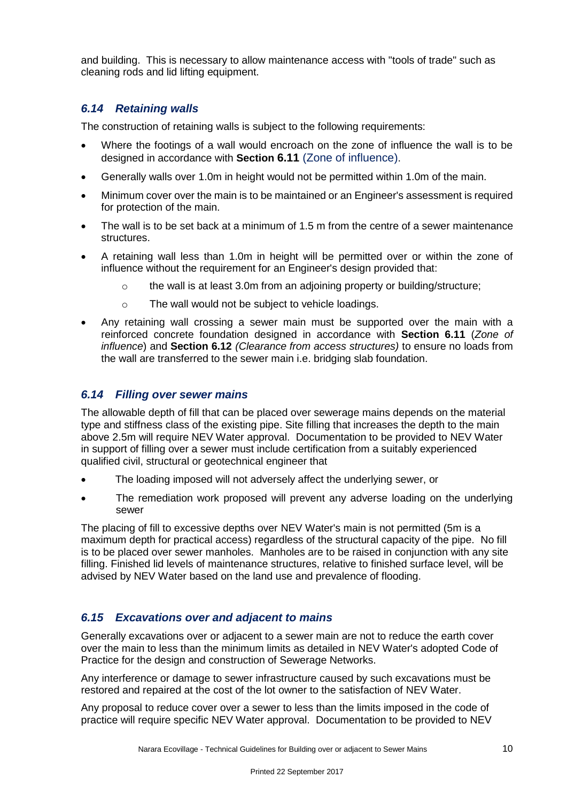and building. This is necessary to allow maintenance access with "tools of trade" such as cleaning rods and lid lifting equipment.

#### *6.14 Retaining walls*

The construction of retaining walls is subject to the following requirements:

- Where the footings of a wall would encroach on the zone of influence the wall is to be designed in accordance with **Section 6.11** (Zone of influence).
- Generally walls over 1.0m in height would not be permitted within 1.0m of the main.
- Minimum cover over the main is to be maintained or an Engineer's assessment is required for protection of the main.
- The wall is to be set back at a minimum of 1.5 m from the centre of a sewer maintenance structures.
- A retaining wall less than 1.0m in height will be permitted over or within the zone of influence without the requirement for an Engineer's design provided that:
	- $\circ$  the wall is at least 3.0m from an adjoining property or building/structure;
	- o The wall would not be subject to vehicle loadings.
- Any retaining wall crossing a sewer main must be supported over the main with a reinforced concrete foundation designed in accordance with **Section 6.11** (*Zone of influence*) and **Section 6.12** *(Clearance from access structures)* to ensure no loads from the wall are transferred to the sewer main i.e. bridging slab foundation.

#### *6.14 Filling over sewer mains*

The allowable depth of fill that can be placed over sewerage mains depends on the material type and stiffness class of the existing pipe. Site filling that increases the depth to the main above 2.5m will require NEV Water approval. Documentation to be provided to NEV Water in support of filling over a sewer must include certification from a suitably experienced qualified civil, structural or geotechnical engineer that

- The loading imposed will not adversely affect the underlying sewer, or
- The remediation work proposed will prevent any adverse loading on the underlying sewer

The placing of fill to excessive depths over NEV Water's main is not permitted (5m is a maximum depth for practical access) regardless of the structural capacity of the pipe. No fill is to be placed over sewer manholes. Manholes are to be raised in conjunction with any site filling. Finished lid levels of maintenance structures, relative to finished surface level, will be advised by NEV Water based on the land use and prevalence of flooding.

#### *6.15 Excavations over and adjacent to mains*

Generally excavations over or adjacent to a sewer main are not to reduce the earth cover over the main to less than the minimum limits as detailed in NEV Water's adopted Code of Practice for the design and construction of Sewerage Networks.

Any interference or damage to sewer infrastructure caused by such excavations must be restored and repaired at the cost of the lot owner to the satisfaction of NEV Water.

Any proposal to reduce cover over a sewer to less than the limits imposed in the code of practice will require specific NEV Water approval. Documentation to be provided to NEV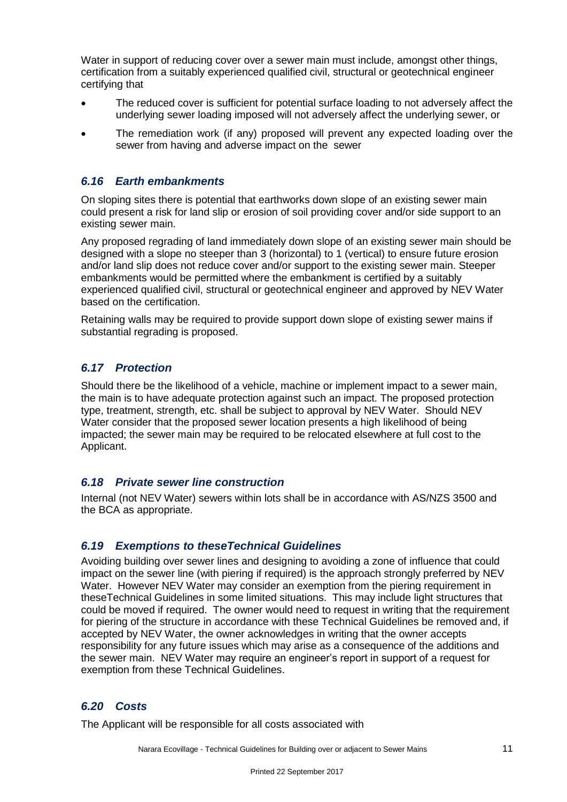Water in support of reducing cover over a sewer main must include, amongst other things, certification from a suitably experienced qualified civil, structural or geotechnical engineer certifying that

- The reduced cover is sufficient for potential surface loading to not adversely affect the underlying sewer loading imposed will not adversely affect the underlying sewer, or
- The remediation work (if any) proposed will prevent any expected loading over the sewer from having and adverse impact on the sewer

#### *6.16 Earth embankments*

On sloping sites there is potential that earthworks down slope of an existing sewer main could present a risk for land slip or erosion of soil providing cover and/or side support to an existing sewer main.

Any proposed regrading of land immediately down slope of an existing sewer main should be designed with a slope no steeper than 3 (horizontal) to 1 (vertical) to ensure future erosion and/or land slip does not reduce cover and/or support to the existing sewer main. Steeper embankments would be permitted where the embankment is certified by a suitably experienced qualified civil, structural or geotechnical engineer and approved by NEV Water based on the certification.

Retaining walls may be required to provide support down slope of existing sewer mains if substantial regrading is proposed.

#### *6.17 Protection*

Should there be the likelihood of a vehicle, machine or implement impact to a sewer main, the main is to have adequate protection against such an impact. The proposed protection type, treatment, strength, etc. shall be subject to approval by NEV Water. Should NEV Water consider that the proposed sewer location presents a high likelihood of being impacted; the sewer main may be required to be relocated elsewhere at full cost to the Applicant.

#### *6.18 Private sewer line construction*

Internal (not NEV Water) sewers within lots shall be in accordance with AS/NZS 3500 and the BCA as appropriate.

#### *6.19 Exemptions to theseTechnical Guidelines*

Avoiding building over sewer lines and designing to avoiding a zone of influence that could impact on the sewer line (with piering if required) is the approach strongly preferred by NEV Water. However NEV Water may consider an exemption from the piering requirement in theseTechnical Guidelines in some limited situations. This may include light structures that could be moved if required. The owner would need to request in writing that the requirement for piering of the structure in accordance with these Technical Guidelines be removed and, if accepted by NEV Water, the owner acknowledges in writing that the owner accepts responsibility for any future issues which may arise as a consequence of the additions and the sewer main. NEV Water may require an engineer's report in support of a request for exemption from these Technical Guidelines.

#### *6.20 Costs*

The Applicant will be responsible for all costs associated with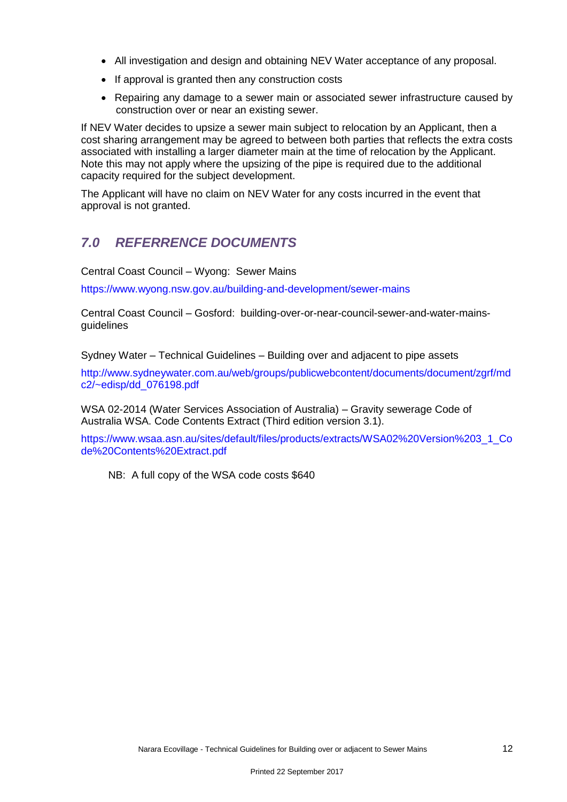- All investigation and design and obtaining NEV Water acceptance of any proposal.
- If approval is granted then any construction costs
- Repairing any damage to a sewer main or associated sewer infrastructure caused by construction over or near an existing sewer.

If NEV Water decides to upsize a sewer main subject to relocation by an Applicant, then a cost sharing arrangement may be agreed to between both parties that reflects the extra costs associated with installing a larger diameter main at the time of relocation by the Applicant. Note this may not apply where the upsizing of the pipe is required due to the additional capacity required for the subject development.

The Applicant will have no claim on NEV Water for any costs incurred in the event that approval is not granted.

## *7.0 REFERRENCE DOCUMENTS*

Central Coast Council – Wyong: Sewer Mains

<https://www.wyong.nsw.gov.au/building-and-development/sewer-mains>

Central Coast Council – Gosford: building-over-or-near-council-sewer-and-water-mainsguidelines

Sydney Water – Technical Guidelines – Building over and adjacent to pipe assets

[http://www.sydneywater.com.au/web/groups/publicwebcontent/documents/document/zgrf/md](http://www.sydneywater.com.au/web/groups/publicwebcontent/documents/document/zgrf/mdc2/~edisp/dd_076198.pdf) [c2/~edisp/dd\\_076198.pdf](http://www.sydneywater.com.au/web/groups/publicwebcontent/documents/document/zgrf/mdc2/~edisp/dd_076198.pdf)

WSA 02-2014 (Water Services Association of Australia) – Gravity sewerage Code of Australia WSA. Code Contents Extract (Third edition version 3.1).

[https://www.wsaa.asn.au/sites/default/files/products/extracts/WSA02%20Version%203\\_1\\_Co](https://www.wsaa.asn.au/sites/default/files/products/extracts/WSA02%20Version%203_1_Code%20Contents%20Extract.pdf) [de%20Contents%20Extract.pdf](https://www.wsaa.asn.au/sites/default/files/products/extracts/WSA02%20Version%203_1_Code%20Contents%20Extract.pdf)

NB: A full copy of the WSA code costs \$640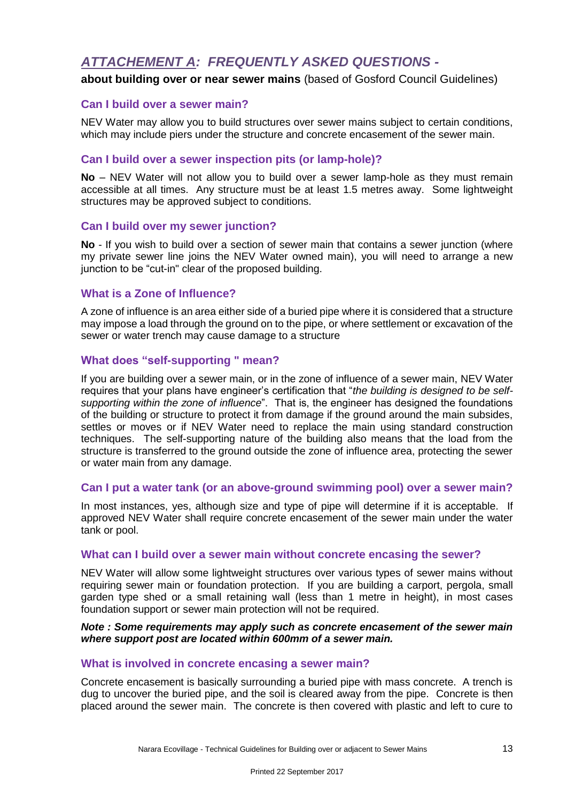## *ATTACHEMENT A: FREQUENTLY ASKED QUESTIONS -*

#### **about building over or near sewer mains** (based of Gosford Council Guidelines)

#### **Can I build over a sewer main?**

NEV Water may allow you to build structures over sewer mains subject to certain conditions, which may include piers under the structure and concrete encasement of the sewer main.

#### **Can I build over a sewer inspection pits (or lamp-hole)?**

**No** – NEV Water will not allow you to build over a sewer lamp-hole as they must remain accessible at all times. Any structure must be at least 1.5 metres away. Some lightweight structures may be approved subject to conditions.

#### **Can I build over my sewer junction?**

**No** - If you wish to build over a section of sewer main that contains a sewer junction (where my private sewer line joins the NEV Water owned main), you will need to arrange a new junction to be "cut-in" clear of the proposed building.

#### **What is a Zone of Influence?**

A zone of influence is an area either side of a buried pipe where it is considered that a structure may impose a load through the ground on to the pipe, or where settlement or excavation of the sewer or water trench may cause damage to a structure

#### **What does "self-supporting " mean?**

If you are building over a sewer main, or in the zone of influence of a sewer main, NEV Water requires that your plans have engineer's certification that "*the building is designed to be selfsupporting within the zone of influence*". That is, the engineer has designed the foundations of the building or structure to protect it from damage if the ground around the main subsides, settles or moves or if NEV Water need to replace the main using standard construction techniques. The self-supporting nature of the building also means that the load from the structure is transferred to the ground outside the zone of influence area, protecting the sewer or water main from any damage.

#### **Can I put a water tank (or an above-ground swimming pool) over a sewer main?**

In most instances, yes, although size and type of pipe will determine if it is acceptable. If approved NEV Water shall require concrete encasement of the sewer main under the water tank or pool.

#### **What can I build over a sewer main without concrete encasing the sewer?**

NEV Water will allow some lightweight structures over various types of sewer mains without requiring sewer main or foundation protection. If you are building a carport, pergola, small garden type shed or a small retaining wall (less than 1 metre in height), in most cases foundation support or sewer main protection will not be required.

#### *Note : Some requirements may apply such as concrete encasement of the sewer main where support post are located within 600mm of a sewer main.*

#### **What is involved in concrete encasing a sewer main?**

Concrete encasement is basically surrounding a buried pipe with mass concrete. A trench is dug to uncover the buried pipe, and the soil is cleared away from the pipe. Concrete is then placed around the sewer main. The concrete is then covered with plastic and left to cure to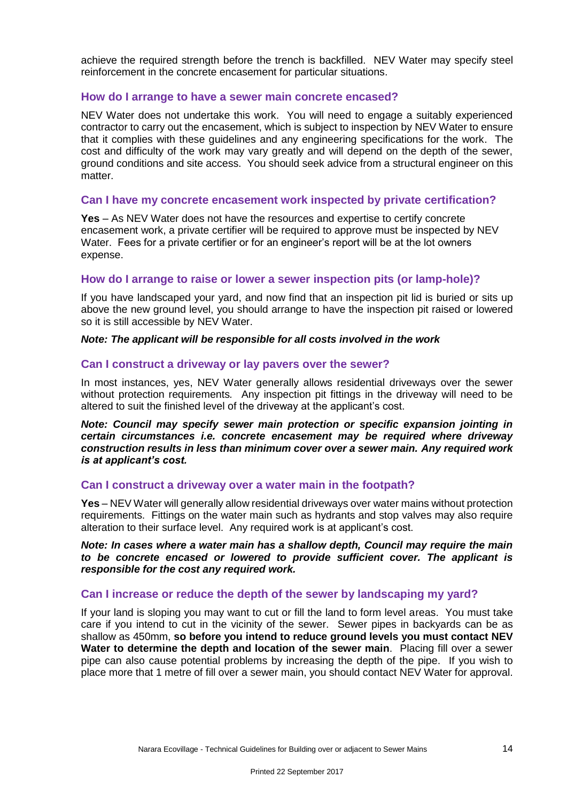achieve the required strength before the trench is backfilled. NEV Water may specify steel reinforcement in the concrete encasement for particular situations.

#### **How do I arrange to have a sewer main concrete encased?**

NEV Water does not undertake this work. You will need to engage a suitably experienced contractor to carry out the encasement, which is subject to inspection by NEV Water to ensure that it complies with these guidelines and any engineering specifications for the work. The cost and difficulty of the work may vary greatly and will depend on the depth of the sewer, ground conditions and site access. You should seek advice from a structural engineer on this matter.

#### **Can I have my concrete encasement work inspected by private certification?**

**Yes** – As NEV Water does not have the resources and expertise to certify concrete encasement work, a private certifier will be required to approve must be inspected by NEV Water. Fees for a private certifier or for an engineer's report will be at the lot owners expense.

#### **How do I arrange to raise or lower a sewer inspection pits (or lamp-hole)?**

If you have landscaped your yard, and now find that an inspection pit lid is buried or sits up above the new ground level, you should arrange to have the inspection pit raised or lowered so it is still accessible by NEV Water.

#### *Note: The applicant will be responsible for all costs involved in the work*

#### **Can I construct a driveway or lay pavers over the sewer?**

In most instances, yes, NEV Water generally allows residential driveways over the sewer without protection requirements*.* Any inspection pit fittings in the driveway will need to be altered to suit the finished level of the driveway at the applicant's cost.

*Note: Council may specify sewer main protection or specific expansion jointing in certain circumstances i.e. concrete encasement may be required where driveway construction results in less than minimum cover over a sewer main. Any required work is at applicant's cost.*

#### **Can I construct a driveway over a water main in the footpath?**

**Yes** – NEV Water will generally allow residential driveways over water mains without protection requirements. Fittings on the water main such as hydrants and stop valves may also require alteration to their surface level. Any required work is at applicant's cost.

*Note: In cases where a water main has a shallow depth, Council may require the main to be concrete encased or lowered to provide sufficient cover. The applicant is responsible for the cost any required work.*

#### **Can I increase or reduce the depth of the sewer by landscaping my yard?**

If your land is sloping you may want to cut or fill the land to form level areas. You must take care if you intend to cut in the vicinity of the sewer. Sewer pipes in backyards can be as shallow as 450mm, **so before you intend to reduce ground levels you must contact NEV Water to determine the depth and location of the sewer main**. Placing fill over a sewer pipe can also cause potential problems by increasing the depth of the pipe. If you wish to place more that 1 metre of fill over a sewer main, you should contact NEV Water for approval.